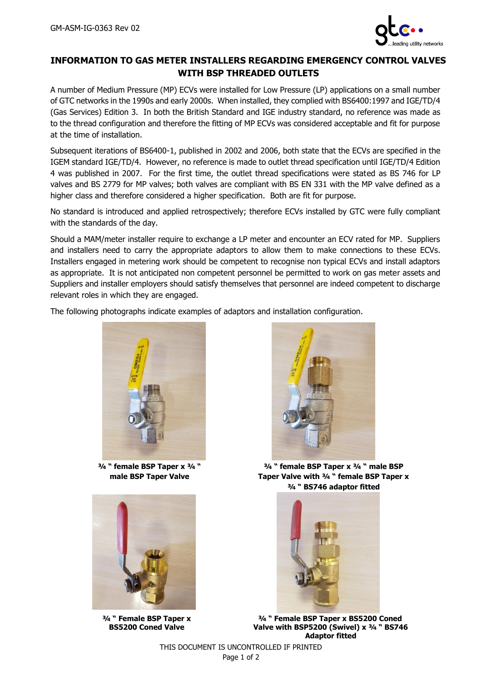

## **INFORMATION TO GAS METER INSTALLERS REGARDING EMERGENCY CONTROL VALVES WITH BSP THREADED OUTLETS**

A number of Medium Pressure (MP) ECVs were installed for Low Pressure (LP) applications on a small number of GTC networks in the 1990s and early 2000s. When installed, they complied with BS6400:1997 and IGE/TD/4 (Gas Services) Edition 3. In both the British Standard and IGE industry standard, no reference was made as to the thread configuration and therefore the fitting of MP ECVs was considered acceptable and fit for purpose at the time of installation.

Subsequent iterations of BS6400-1, published in 2002 and 2006, both state that the ECVs are specified in the IGEM standard IGE/TD/4. However, no reference is made to outlet thread specification until IGE/TD/4 Edition 4 was published in 2007. For the first time, the outlet thread specifications were stated as BS 746 for LP valves and BS 2779 for MP valves; both valves are compliant with BS EN 331 with the MP valve defined as a higher class and therefore considered a higher specification. Both are fit for purpose.

No standard is introduced and applied retrospectively; therefore ECVs installed by GTC were fully compliant with the standards of the day.

Should a MAM/meter installer require to exchange a LP meter and encounter an ECV rated for MP. Suppliers and installers need to carry the appropriate adaptors to allow them to make connections to these ECVs. Installers engaged in metering work should be competent to recognise non typical ECVs and install adaptors as appropriate. It is not anticipated non competent personnel be permitted to work on gas meter assets and Suppliers and installer employers should satisfy themselves that personnel are indeed competent to discharge relevant roles in which they are engaged.

The following photographs indicate examples of adaptors and installation configuration.



**¾ " female BSP Taper x ¾ " male BSP Taper Valve**



**¾ " Female BSP Taper x BS5200 Coned Valve**



**¾ " female BSP Taper x ¾ " male BSP Taper Valve with ¾ " female BSP Taper x ¾ " BS746 adaptor fitted**



**¾ " Female BSP Taper x BS5200 Coned Valve with BSP5200 (Swivel) x ¾ " BS746 Adaptor fitted**

THIS DOCUMENT IS UNCONTROLLED IF PRINTED Page 1 of 2